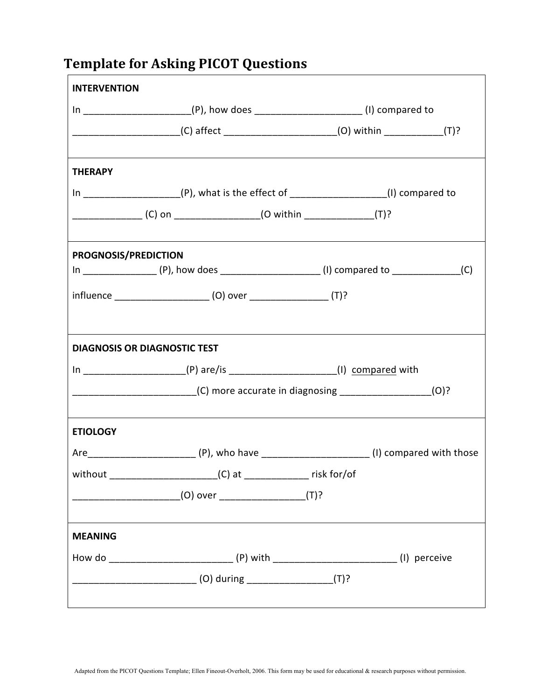## **Template for Asking PICOT Questions**

| <b>INTERVENTION</b>         |                                                                                             |                                                                             |  |  |
|-----------------------------|---------------------------------------------------------------------------------------------|-----------------------------------------------------------------------------|--|--|
|                             | In _________________________(P), how does __________________________(I) compared to         |                                                                             |  |  |
|                             | ___________________________(C) affect _________________________(O) within _____________(T)? |                                                                             |  |  |
| <b>THERAPY</b>              |                                                                                             |                                                                             |  |  |
|                             | In _______________________(P), what is the effect of _____________________(I) compared to   |                                                                             |  |  |
|                             | _______________________(C) on _______________________(O within _________________(T)?        |                                                                             |  |  |
| <b>PROGNOSIS/PREDICTION</b> |                                                                                             |                                                                             |  |  |
|                             |                                                                                             |                                                                             |  |  |
|                             |                                                                                             |                                                                             |  |  |
|                             |                                                                                             |                                                                             |  |  |
|                             | <b>DIAGNOSIS OR DIAGNOSTIC TEST</b>                                                         |                                                                             |  |  |
|                             |                                                                                             | In ______________________(P) are/is ______________________(I) compared with |  |  |
|                             |                                                                                             |                                                                             |  |  |
| <b>ETIOLOGY</b>             | ,我们也不会有什么。""我们的人,我们也不会有什么?""我们的人,我们也不会有什么?""我们的人,我们也不会有什么?""我们的人,我们也不会有什么?""我们的人            |                                                                             |  |  |
|                             |                                                                                             |                                                                             |  |  |
|                             |                                                                                             |                                                                             |  |  |
|                             |                                                                                             |                                                                             |  |  |
| <b>MEANING</b>              |                                                                                             |                                                                             |  |  |
|                             |                                                                                             |                                                                             |  |  |
|                             |                                                                                             |                                                                             |  |  |
|                             |                                                                                             |                                                                             |  |  |